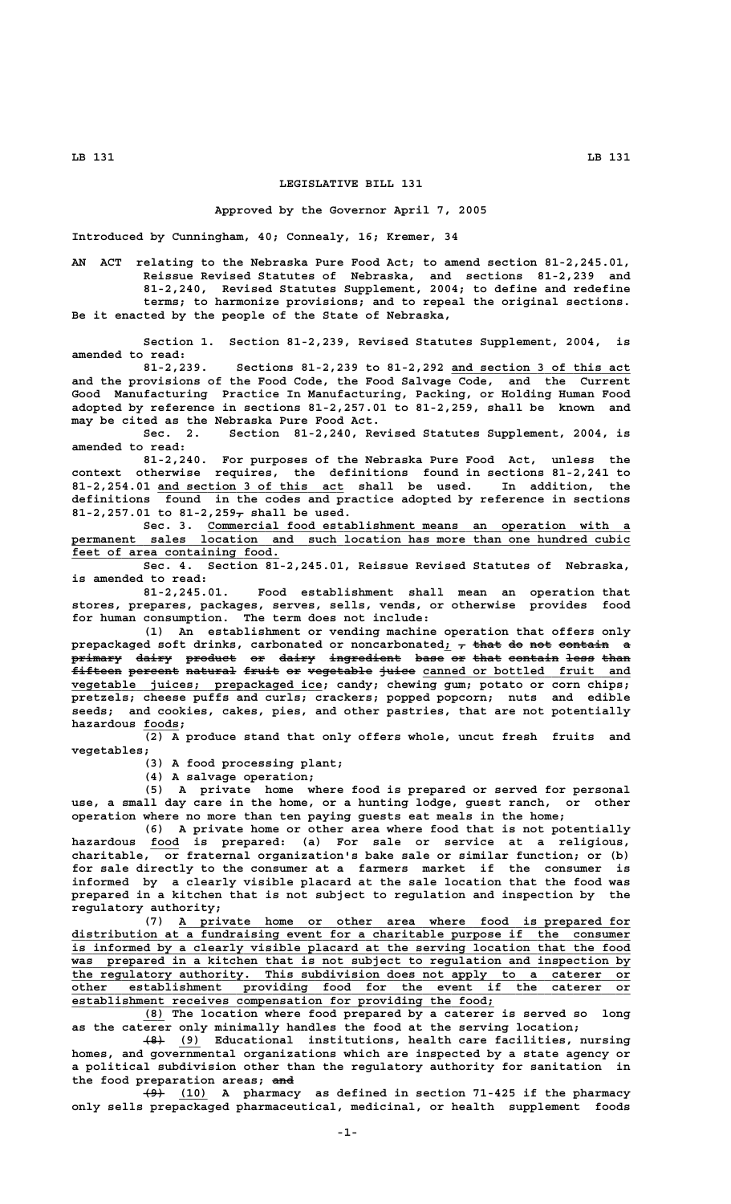## **LB 131 LB 131**

## **LEGISLATIVE BILL 131**

## **Approved by the Governor April 7, 2005**

**Introduced by Cunningham, 40; Connealy, 16; Kremer, 34**

**AN ACT relating to the Nebraska Pure Food Act; to amend section 81-2,245.01, Reissue Revised Statutes of Nebraska, and sections 81-2,239 and 81-2,240, Revised Statutes Supplement, 2004; to define and redefine terms; to harmonize provisions; and to repeal the original sections. Be it enacted by the people of the State of Nebraska,**

**Section 1. Section 81-2,239, Revised Statutes Supplement, 2004, is amended to read:**

81-2,239. Sections 81-2,239 to 81-2,292 and section 3 of this act **and the provisions of the Food Code, the Food Salvage Code, and the Current Good Manufacturing Practice In Manufacturing, Packing, or Holding Human Food adopted by reference in sections 81-2,257.01 to 81-2,259, shall be known and may be cited as the Nebraska Pure Food Act.**

**Sec. 2. Section 81-2,240, Revised Statutes Supplement, 2004, is amended to read:**

**81-2,240. For purposes of the Nebraska Pure Food Act, unless the context otherwise requires, the definitions found in sections 81-2,241 to \_\_\_\_\_\_\_\_\_\_\_\_\_\_\_\_\_\_\_\_\_\_\_\_\_\_ 81-2,254.01 and section 3 of this act shall be used. In addition, the definitions found in the codes and practice adopted by reference in sections — 81-2,257.01 to 81-2,259, shall be used.**

Sec. 3. Commercial food establishment means an operation with permanent sales location and such location has more than one hundred cubic feet of area containing food.

**Sec. 4. Section 81-2,245.01, Reissue Revised Statutes of Nebraska, is amended to read:**

**81-2,245.01. Food establishment shall mean an operation that stores, prepares, packages, serves, sells, vends, or otherwise provides food for human consumption. The term does not include:**

**(1) An establishment or vending machine operation that offers only**  $\mathbf{p}$ repackaged soft drinks, carbonated or noncarbonated; <del>, that do not contain</del> a **primary dairy product or dairy ingredient base or that contain less than ——————— ————— ——————— —— ————— —————————— ———— —— ———— ——————— ———— ————**  $\tt{fiteen}$  percent natural fruit or vegetable juice canned or bottled fruit and  **\_\_\_\_\_\_\_\_\_\_\_\_\_\_\_\_\_\_\_\_\_\_\_\_\_\_\_\_\_\_\_\_\_\_\_ vegetable juices; prepackaged ice; candy; chewing gum; potato or corn chips; pretzels; cheese puffs and curls; crackers; popped popcorn; nuts and edible seeds; and cookies, cakes, pies, and other pastries, that are not potentially hazardous foods; \_\_\_\_\_**

**(2) A produce stand that only offers whole, uncut fresh fruits and vegetables;**

**(3) A food processing plant;**

**(4) A salvage operation;**

**(5) A private home where food is prepared or served for personal use, a small day care in the home, or a hunting lodge, guest ranch, or other operation where no more than ten paying guests eat meals in the home;**

**(6) A private home or other area where food that is not potentially \_\_\_\_ hazardous food is prepared: (a) For sale or service at a religious, charitable, or fraternal organization's bake sale or similar function; or (b) for sale directly to the consumer at a farmers market if the consumer is informed by a clearly visible placard at the sale location that the food was prepared in a kitchen that is not subject to regulation and inspection by the regulatory authority;**

 **\_\_\_\_\_\_\_\_\_\_\_\_\_\_\_\_\_\_\_\_\_\_\_\_\_\_\_\_\_\_\_\_\_\_\_\_\_\_\_\_\_\_\_\_\_\_\_\_\_\_\_\_\_\_\_\_\_\_\_\_\_\_\_ (7) A private home or other area where food is prepared for \_\_\_\_\_\_\_\_\_\_\_\_\_\_\_\_\_\_\_\_\_\_\_\_\_\_\_\_\_\_\_\_\_\_\_\_\_\_\_\_\_\_\_\_\_\_\_\_\_\_\_\_\_\_\_\_\_\_\_\_\_\_\_\_\_\_\_\_\_\_\_\_\_\_\_\_\_\_ distribution at a fundraising event for a charitable purpose if the consumer \_\_\_\_\_\_\_\_\_\_\_\_\_\_\_\_\_\_\_\_\_\_\_\_\_\_\_\_\_\_\_\_\_\_\_\_\_\_\_\_\_\_\_\_\_\_\_\_\_\_\_\_\_\_\_\_\_\_\_\_\_\_\_\_\_\_\_\_\_\_\_\_\_\_\_\_\_\_ is informed by a clearly visible placard at the serving location that the food \_\_\_\_\_\_\_\_\_\_\_\_\_\_\_\_\_\_\_\_\_\_\_\_\_\_\_\_\_\_\_\_\_\_\_\_\_\_\_\_\_\_\_\_\_\_\_\_\_\_\_\_\_\_\_\_\_\_\_\_\_\_\_\_\_\_\_\_\_\_\_\_\_\_\_\_\_\_ was prepared in a kitchen that is not subject to regulation and inspection by \_\_\_\_\_\_\_\_\_\_\_\_\_\_\_\_\_\_\_\_\_\_\_\_\_\_\_\_\_\_\_\_\_\_\_\_\_\_\_\_\_\_\_\_\_\_\_\_\_\_\_\_\_\_\_\_\_\_\_\_\_\_\_\_\_\_\_\_\_\_\_\_\_\_\_\_\_\_ the regulatory authority. This subdivision does not apply to a caterer or \_\_\_\_\_\_\_\_\_\_\_\_\_\_\_\_\_\_\_\_\_\_\_\_\_\_\_\_\_\_\_\_\_\_\_\_\_\_\_\_\_\_\_\_\_\_\_\_\_\_\_\_\_\_\_\_\_\_\_\_\_\_\_\_\_\_\_\_\_\_\_\_\_\_\_\_\_\_ other establishment providing food for the event if the caterer or \_\_\_\_\_\_\_\_\_\_\_\_\_\_\_\_\_\_\_\_\_\_\_\_\_\_\_\_\_\_\_\_\_\_\_\_\_\_\_\_\_\_\_\_\_\_\_\_\_\_\_\_\_\_\_\_\_\_\_ establishment receives compensation for providing the food;**

 **\_\_\_ (8) The location where food prepared by a caterer is served so long as the caterer only minimally handles the food at the serving location;**

 **——— \_\_\_ (8) (9) Educational institutions, health care facilities, nursing homes, and governmental organizations which are inspected by a state agency or a political subdivision other than the regulatory authority for sanitation in ——— the food preparation areas; and**

 **——— \_\_\_\_ (9) (10) A pharmacy as defined in section 71-425 if the pharmacy only sells prepackaged pharmaceutical, medicinal, or health supplement foods**